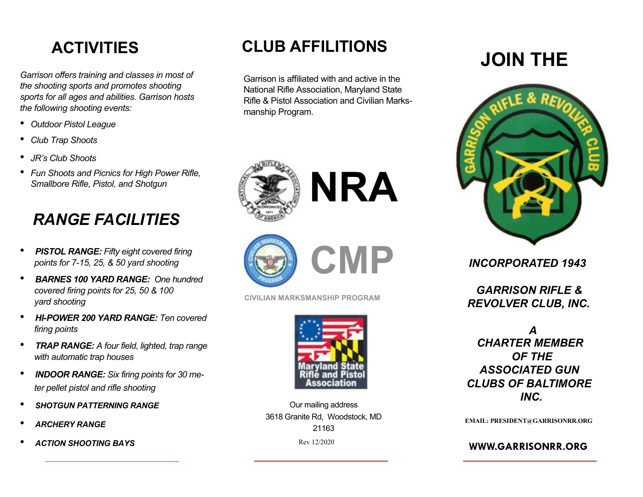## **ACTIVITIES**

*Garrison offers training and classes in most of the shooting sports and promotes shooting sports for all ages and abilities. Garrison hosts the following shooting events:*

- *Outdoor Pistol League*
- *Club Trap Shoots*
- *JR's Club Shoots*
- *Fun Shoots and Picnics for High Power Rifle, Smallbore Rifle, Pistol, and Shotgun*

## *RANGE FACILITIES*

- *PISTOL RANGE: Fifty eight covered firing points for 7-15, 25, & 50 yard shooting*
- *BARNES 100 YARD RANGE: One hundred covered firing points for 25, 50 & 100 yard shooting*
- *HI-POWER 200 YARD RANGE: Ten covered firing points*
- *TRAP RANGE: A four field, lighted, trap range with automatic trap houses*
- *INDOOR RANGE: Six firing points for 30 meter pellet pistol and rifle shooting*
- *SHOTGUN PATTERNING RANGE*
- *ARCHERY RANGE*
- *ACTION SHOOTING BAYS*

## **CLUB AFFILITIONS**

Garrison is affiliated with and active in the National Rifle Association, Maryland State Rifle & Pistol Association and Civilian Marksmanship Program.







**CIVILIAN MARKSMANSHIP PROGRAM**



Our mailing address 3618 Granite Rd, Woodstock, MD 21163 Rev 12/2020

# **JOIN THE**



*INCORPORATED 1943*

*GARRISON RIFLE & REVOLVER CLUB, INC.*

*A CHARTER MEMBER OF THE ASSOCIATED GUN CLUBS OF BALTIMORE INC.*

**EMAIL: PRESIDENT@GARRISONRR.ORG**

**WWW.GARRISONRR.ORG**